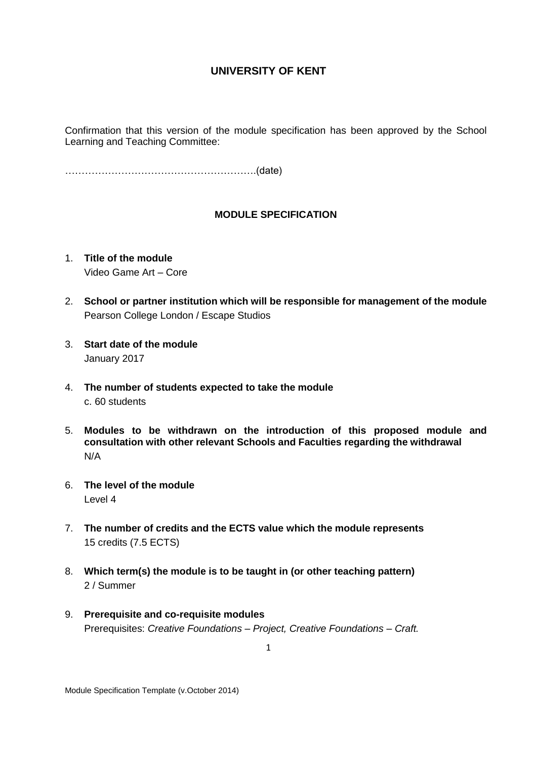Confirmation that this version of the module specification has been approved by the School Learning and Teaching Committee:

………………………………………………….(date)

## **MODULE SPECIFICATION**

- 1. **Title of the module** Video Game Art – Core
- 2. **School or partner institution which will be responsible for management of the module** Pearson College London / Escape Studios
- 3. **Start date of the module** January 2017
- 4. **The number of students expected to take the module** c. 60 students
- 5. **Modules to be withdrawn on the introduction of this proposed module and consultation with other relevant Schools and Faculties regarding the withdrawal** N/A
- 6. **The level of the module**  Level 4
- 7. **The number of credits and the ECTS value which the module represents**  15 credits (7.5 ECTS)
- 8. **Which term(s) the module is to be taught in (or other teaching pattern)** 2 / Summer
- 9. **Prerequisite and co-requisite modules** Prerequisites: *Creative Foundations – Project, Creative Foundations – Craft.*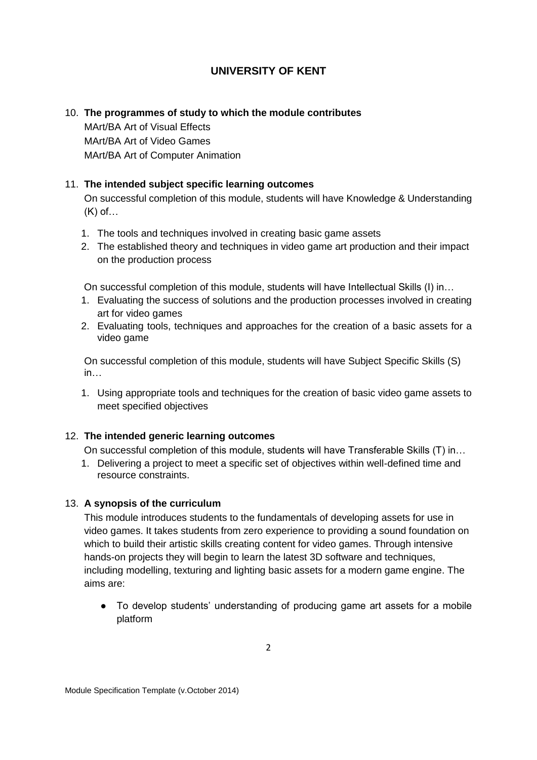# 10. **The programmes of study to which the module contributes**

MArt/BA Art of Visual Effects MArt/BA Art of Video Games MArt/BA Art of Computer Animation

## 11. **The intended subject specific learning outcomes**

On successful completion of this module, students will have Knowledge & Understanding (K) of…

- 1. The tools and techniques involved in creating basic game assets
- 2. The established theory and techniques in video game art production and their impact on the production process

On successful completion of this module, students will have Intellectual Skills (I) in…

- 1. Evaluating the success of solutions and the production processes involved in creating art for video games
- 2. Evaluating tools, techniques and approaches for the creation of a basic assets for a video game

On successful completion of this module, students will have Subject Specific Skills (S) in…

1. Using appropriate tools and techniques for the creation of basic video game assets to meet specified objectives

# 12. **The intended generic learning outcomes**

On successful completion of this module, students will have Transferable Skills (T) in…

1. Delivering a project to meet a specific set of objectives within well-defined time and resource constraints.

## 13. **A synopsis of the curriculum**

This module introduces students to the fundamentals of developing assets for use in video games. It takes students from zero experience to providing a sound foundation on which to build their artistic skills creating content for video games. Through intensive hands-on projects they will begin to learn the latest 3D software and techniques, including modelling, texturing and lighting basic assets for a modern game engine. The aims are:

• To develop students' understanding of producing game art assets for a mobile platform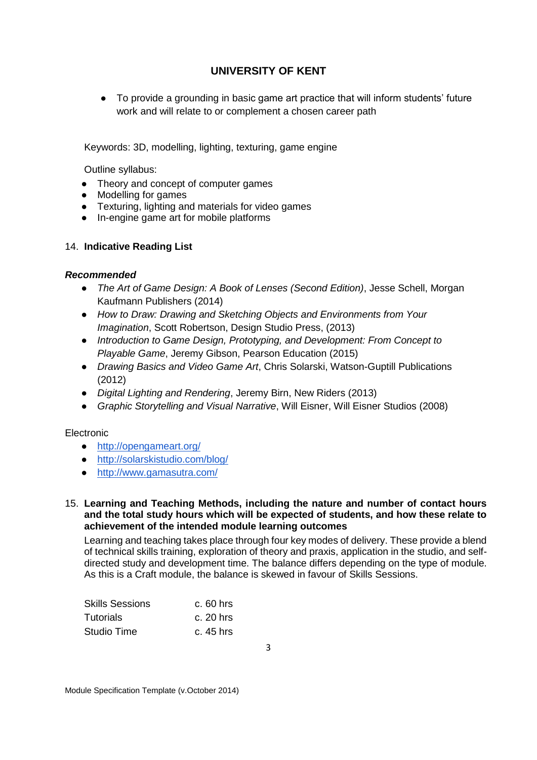● To provide a grounding in basic game art practice that will inform students' future work and will relate to or complement a chosen career path

Keywords: 3D, modelling, lighting, texturing, game engine

Outline syllabus:

- Theory and concept of computer games
- Modelling for games
- Texturing, lighting and materials for video games
- In-engine game art for mobile platforms

## 14. **Indicative Reading List**

## *Recommended*

- *The Art of Game Design: A Book of Lenses (Second Edition)*, Jesse Schell, Morgan Kaufmann Publishers (2014)
- *How to Draw: Drawing and Sketching Objects and Environments from Your Imagination*, Scott Robertson, Design Studio Press, (2013)
- *Introduction to Game Design, Prototyping, and Development: From Concept to Playable Game*, Jeremy Gibson, Pearson Education (2015)
- *Drawing Basics and Video Game Art*, Chris Solarski, Watson-Guptill Publications (2012)
- *Digital Lighting and Rendering*, Jeremy Birn, New Riders (2013)
- *Graphic Storytelling and Visual Narrative*, Will Eisner, Will Eisner Studios (2008)

## Electronic

- <http://opengameart.org/>
- <http://solarskistudio.com/blog/>
- <http://www.gamasutra.com/>

#### 15. **Learning and Teaching Methods, including the nature and number of contact hours and the total study hours which will be expected of students, and how these relate to achievement of the intended module learning outcomes**

Learning and teaching takes place through four key modes of delivery. These provide a blend of technical skills training, exploration of theory and praxis, application in the studio, and selfdirected study and development time. The balance differs depending on the type of module. As this is a Craft module, the balance is skewed in favour of Skills Sessions.

| <b>Skills Sessions</b> | $c.60$ hrs  |
|------------------------|-------------|
| <b>Tutorials</b>       | $c. 20$ hrs |
| Studio Time            | c. 45 hrs   |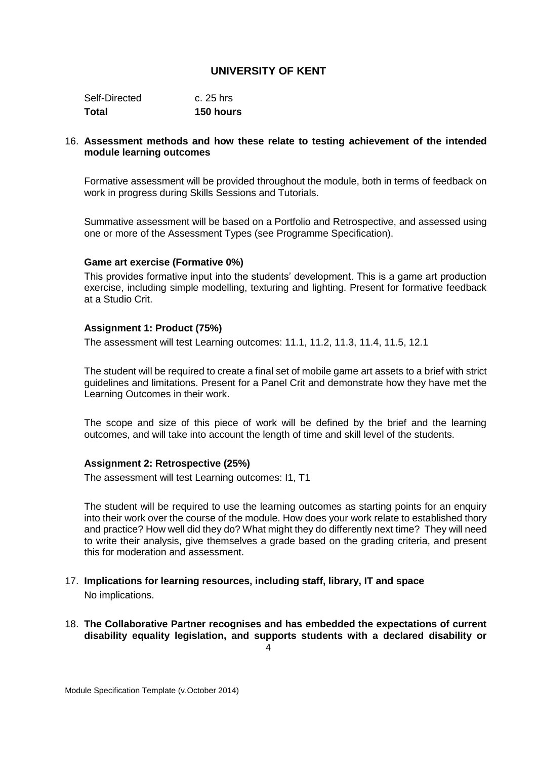| <b>150 hours</b> |
|------------------|
| c. 25 hrs        |
|                  |

#### 16. **Assessment methods and how these relate to testing achievement of the intended module learning outcomes**

Formative assessment will be provided throughout the module, both in terms of feedback on work in progress during Skills Sessions and Tutorials.

Summative assessment will be based on a Portfolio and Retrospective, and assessed using one or more of the Assessment Types (see Programme Specification).

#### **Game art exercise (Formative 0%)**

This provides formative input into the students' development. This is a game art production exercise, including simple modelling, texturing and lighting. Present for formative feedback at a Studio Crit.

#### **Assignment 1: Product (75%)**

The assessment will test Learning outcomes: 11.1, 11.2, 11.3, 11.4, 11.5, 12.1

The student will be required to create a final set of mobile game art assets to a brief with strict guidelines and limitations. Present for a Panel Crit and demonstrate how they have met the Learning Outcomes in their work.

The scope and size of this piece of work will be defined by the brief and the learning outcomes, and will take into account the length of time and skill level of the students.

#### **Assignment 2: Retrospective (25%)**

The assessment will test Learning outcomes: I1, T1

The student will be required to use the learning outcomes as starting points for an enquiry into their work over the course of the module. How does your work relate to established thory and practice? How well did they do? What might they do differently next time? They will need to write their analysis, give themselves a grade based on the grading criteria, and present this for moderation and assessment.

- 17. **Implications for learning resources, including staff, library, IT and space** No implications.
- 18. **The Collaborative Partner recognises and has embedded the expectations of current disability equality legislation, and supports students with a declared disability or**